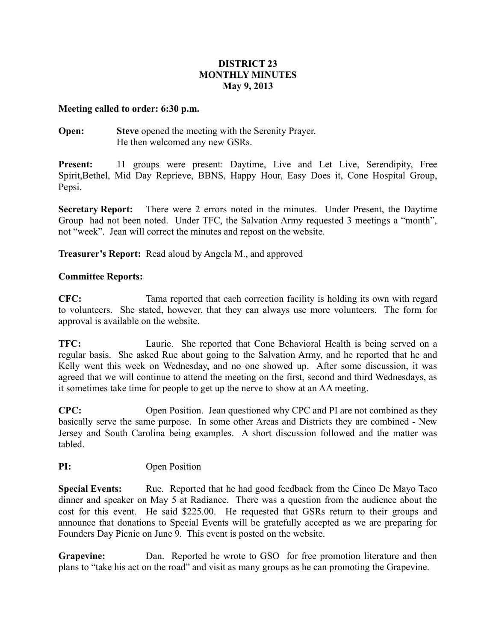### **DISTRICT 23 MONTHLY MINUTES May 9, 2013**

#### **Meeting called to order: 6:30 p.m.**

**Open: Steve** opened the meeting with the Serenity Prayer. He then welcomed any new GSRs.

**Present:** 11 groups were present: Daytime, Live and Let Live, Serendipity, Free Spirit,Bethel, Mid Day Reprieve, BBNS, Happy Hour, Easy Does it, Cone Hospital Group, Pepsi.

**Secretary Report:** There were 2 errors noted in the minutes. Under Present, the Daytime Group had not been noted. Under TFC, the Salvation Army requested 3 meetings a "month", not "week". Jean will correct the minutes and repost on the website.

**Treasurer's Report:** Read aloud by Angela M., and approved

# **Committee Reports:**

**CFC:** Tama reported that each correction facility is holding its own with regard to volunteers. She stated, however, that they can always use more volunteers. The form for approval is available on the website.

**TFC:** Laurie. She reported that Cone Behavioral Health is being served on a regular basis. She asked Rue about going to the Salvation Army, and he reported that he and Kelly went this week on Wednesday, and no one showed up. After some discussion, it was agreed that we will continue to attend the meeting on the first, second and third Wednesdays, as it sometimes take time for people to get up the nerve to show at an AA meeting.

**CPC:** Open Position. Jean questioned why CPC and PI are not combined as they basically serve the same purpose. In some other Areas and Districts they are combined - New Jersey and South Carolina being examples. A short discussion followed and the matter was tabled.

# **PI:** Open Position

**Special Events:** Rue. Reported that he had good feedback from the Cinco De Mayo Taco dinner and speaker on May 5 at Radiance. There was a question from the audience about the cost for this event. He said \$225.00. He requested that GSRs return to their groups and announce that donations to Special Events will be gratefully accepted as we are preparing for Founders Day Picnic on June 9. This event is posted on the website.

**Grapevine:** Dan. Reported he wrote to GSO for free promotion literature and then plans to "take his act on the road" and visit as many groups as he can promoting the Grapevine.